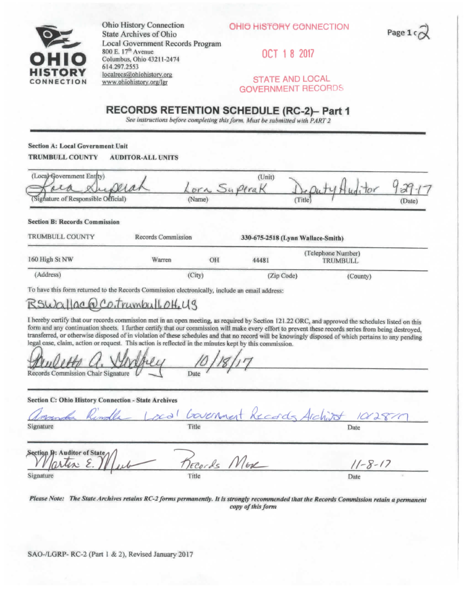



OHIO HISTORY CONNECTION<br>
State Archives of Ohio<br> **OHIO HISTORY CONNECTION**  $State$  Archives of Ohio Local Government Records Program 800 E. 17<sup>th</sup> Avenue<br> **OCT** 1 8 2017 Columbus, Ohio 43211-2474 **UlCrr^D V** 614,297.2553 **STATE AND LOCAL**<br> **WWW.phistory.org/ler STATE AND LOCAL CONNECTION WWW.ohiohistory.org/Igr** 

## **GOVERNMENT RECORDS**

## **RECORDS RETENTION SCHEDULE (RC-2)- Part 1**

*See instructions before completing this form. Musi be submitted with PART 2* 

**Section** A: **Local Government Unit TRUMBULL COUNTV AUDITOR-ALL UNITS** 

| (Local Government Entity)<br>Mar                                                                                                             |                           |                       | (Unit)                                 |                                       |               |
|----------------------------------------------------------------------------------------------------------------------------------------------|---------------------------|-----------------------|----------------------------------------|---------------------------------------|---------------|
| Signature of Responsible Official)                                                                                                           |                           | ora Superak<br>(Name) |                                        | (Title)                               | (Date)        |
| <b>Section B: Records Commission</b>                                                                                                         |                           |                       |                                        |                                       |               |
| <b>TRUMBULL COUNTY</b>                                                                                                                       | <b>Records Commission</b> |                       | 330-675-2518 (Lynn Wallace-Smith)      |                                       |               |
| 160 High St NW                                                                                                                               | Warren                    | OH                    | 44481                                  | (Telephone Number)<br><b>TRUMBULL</b> |               |
| (Address)                                                                                                                                    |                           | (City)                | (Zip Code)                             |                                       | (County)      |
| To have this form returned to the Records Commission electronically, include an email address:                                               |                           |                       |                                        |                                       |               |
| RSWallac@Co.trumbull.off,US                                                                                                                  |                           |                       |                                        |                                       |               |
| legal case, claim, action or request. This action is reflected in the minutes kept by this commission.<br>Records Commission Chair Signature |                           | Date                  |                                        |                                       |               |
| Section C: Ohio History Connection - State Archives                                                                                          |                           |                       |                                        |                                       |               |
|                                                                                                                                              |                           |                       | acal bournment Records Architet 101281 |                                       |               |
| Signature                                                                                                                                    |                           | Title                 |                                        |                                       | Date          |
| Section D: Auditor of State<br>les: E                                                                                                        |                           | Tecords More          |                                        |                                       | $11 - 8 - 17$ |
| Signature                                                                                                                                    |                           | Title                 |                                        |                                       | Date          |

*nease Note: The State Archives retains RC-2 forms permanently. It Is strongly recommended that the Records Commission retain a permanent copy of this form*